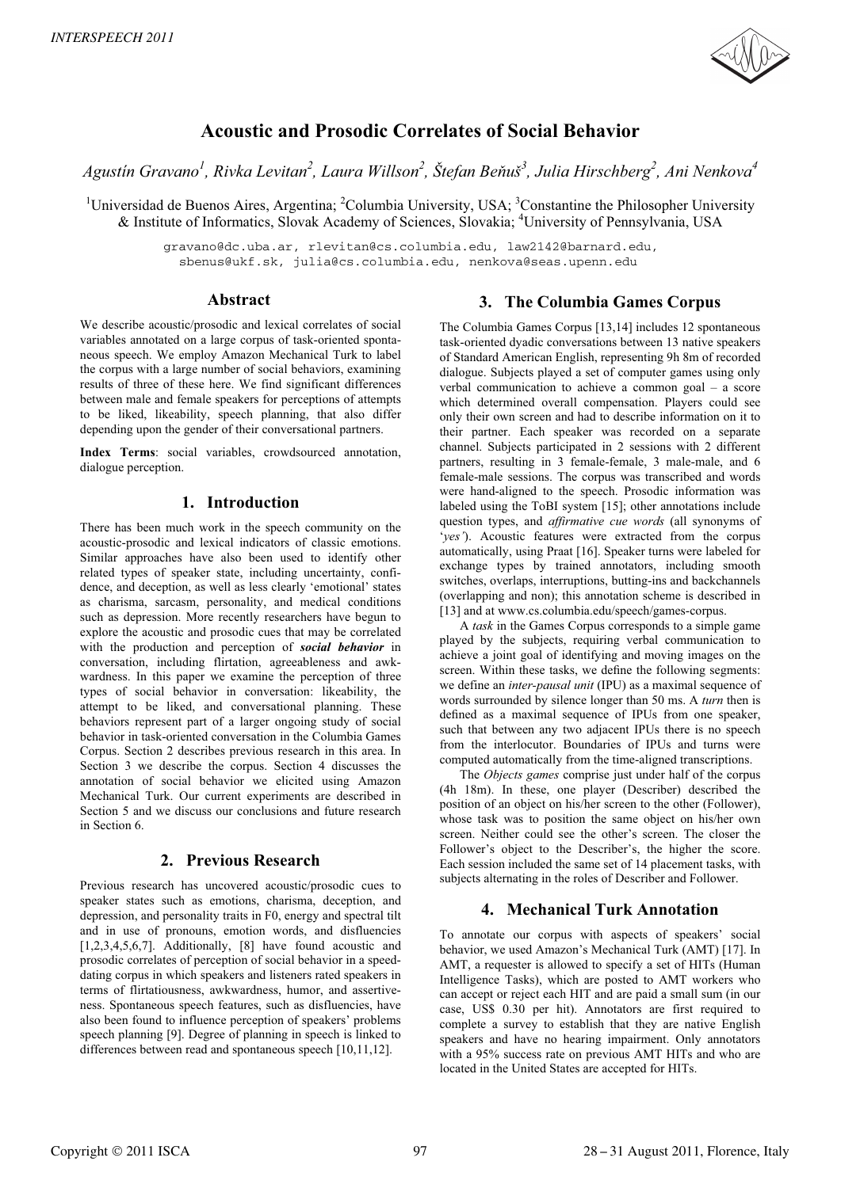

# **Acoustic and Prosodic Correlates of Social Behavior**

*Agustín Gravano<sup>1</sup> , Rivka Levitan2 , Laura Willson<sup>2</sup> , Štefan Be-uš<sup>3</sup> , Julia Hirschberg<sup>2</sup> , Ani Nenkova4* 

<sup>1</sup>Universidad de Buenos Aires, Argentina; <sup>2</sup>Columbia University, USA; <sup>3</sup>Constantine the Philosopher University & Institute of Informatics, Slovak Academy of Sciences, Slovakia; <sup>4</sup>University of Pennsylvania, USA

> gravano@dc.uba.ar, rlevitan@cs.columbia.edu, law2142@barnard.edu, sbenus@ukf.sk, julia@cs.columbia.edu, nenkova@seas.upenn.edu

#### **Abstract**

We describe acoustic/prosodic and lexical correlates of social variables annotated on a large corpus of task-oriented spontaneous speech. We employ Amazon Mechanical Turk to label the corpus with a large number of social behaviors, examining results of three of these here. We find significant differences between male and female speakers for perceptions of attempts to be liked, likeability, speech planning, that also differ depending upon the gender of their conversational partners.

**Index Terms**: social variables, crowdsourced annotation, dialogue perception.

### **1. Introduction**

There has been much work in the speech community on the acoustic-prosodic and lexical indicators of classic emotions. Similar approaches have also been used to identify other related types of speaker state, including uncertainty, confidence, and deception, as well as less clearly 'emotional' states as charisma, sarcasm, personality, and medical conditions such as depression. More recently researchers have begun to explore the acoustic and prosodic cues that may be correlated with the production and perception of *social behavior* in conversation, including flirtation, agreeableness and awkwardness. In this paper we examine the perception of three types of social behavior in conversation: likeability, the attempt to be liked, and conversational planning. These behaviors represent part of a larger ongoing study of social behavior in task-oriented conversation in the Columbia Games Corpus. Section 2 describes previous research in this area. In Section 3 we describe the corpus. Section 4 discusses the annotation of social behavior we elicited using Amazon Mechanical Turk. Our current experiments are described in Section 5 and we discuss our conclusions and future research in Section 6.

# **2. Previous Research**

Previous research has uncovered acoustic/prosodic cues to speaker states such as emotions, charisma, deception, and depression, and personality traits in F0, energy and spectral tilt and in use of pronouns, emotion words, and disfluencies [1,2,3,4,5,6,7]. Additionally, [8] have found acoustic and prosodic correlates of perception of social behavior in a speeddating corpus in which speakers and listeners rated speakers in terms of flirtatiousness, awkwardness, humor, and assertiveness. Spontaneous speech features, such as disfluencies, have also been found to influence perception of speakers' problems speech planning [9]. Degree of planning in speech is linked to differences between read and spontaneous speech [10,11,12].

# **3. The Columbia Games Corpus**

The Columbia Games Corpus [13,14] includes 12 spontaneous task-oriented dyadic conversations between 13 native speakers of Standard American English, representing 9h 8m of recorded dialogue. Subjects played a set of computer games using only verbal communication to achieve a common goal – a score which determined overall compensation. Players could see only their own screen and had to describe information on it to their partner. Each speaker was recorded on a separate channel. Subjects participated in 2 sessions with 2 different partners, resulting in 3 female-female, 3 male-male, and 6 female-male sessions. The corpus was transcribed and words were hand-aligned to the speech. Prosodic information was labeled using the ToBI system [15]; other annotations include question types, and *affirmative cue words* (all synonyms of '*yes'*). Acoustic features were extracted from the corpus automatically, using Praat [16]. Speaker turns were labeled for exchange types by trained annotators, including smooth switches, overlaps, interruptions, butting-ins and backchannels (overlapping and non); this annotation scheme is described in [13] and at www.cs.columbia.edu/speech/games-corpus.

A *task* in the Games Corpus corresponds to a simple game played by the subjects, requiring verbal communication to achieve a joint goal of identifying and moving images on the screen. Within these tasks, we define the following segments: we define an *inter-pausal unit* (IPU) as a maximal sequence of words surrounded by silence longer than 50 ms. A *turn* then is defined as a maximal sequence of IPUs from one speaker, such that between any two adjacent IPUs there is no speech from the interlocutor. Boundaries of IPUs and turns were computed automatically from the time-aligned transcriptions.

The *Objects games* comprise just under half of the corpus (4h 18m). In these, one player (Describer) described the position of an object on his/her screen to the other (Follower), whose task was to position the same object on his/her own screen. Neither could see the other's screen. The closer the Follower's object to the Describer's, the higher the score. Each session included the same set of 14 placement tasks, with subjects alternating in the roles of Describer and Follower.

# **4. Mechanical Turk Annotation**

To annotate our corpus with aspects of speakers' social behavior, we used Amazon's Mechanical Turk (AMT) [17]. In AMT, a requester is allowed to specify a set of HITs (Human Intelligence Tasks), which are posted to AMT workers who can accept or reject each HIT and are paid a small sum (in our case, US\$ 0.30 per hit). Annotators are first required to complete a survey to establish that they are native English speakers and have no hearing impairment. Only annotators with a 95% success rate on previous AMT HITs and who are located in the United States are accepted for HITs.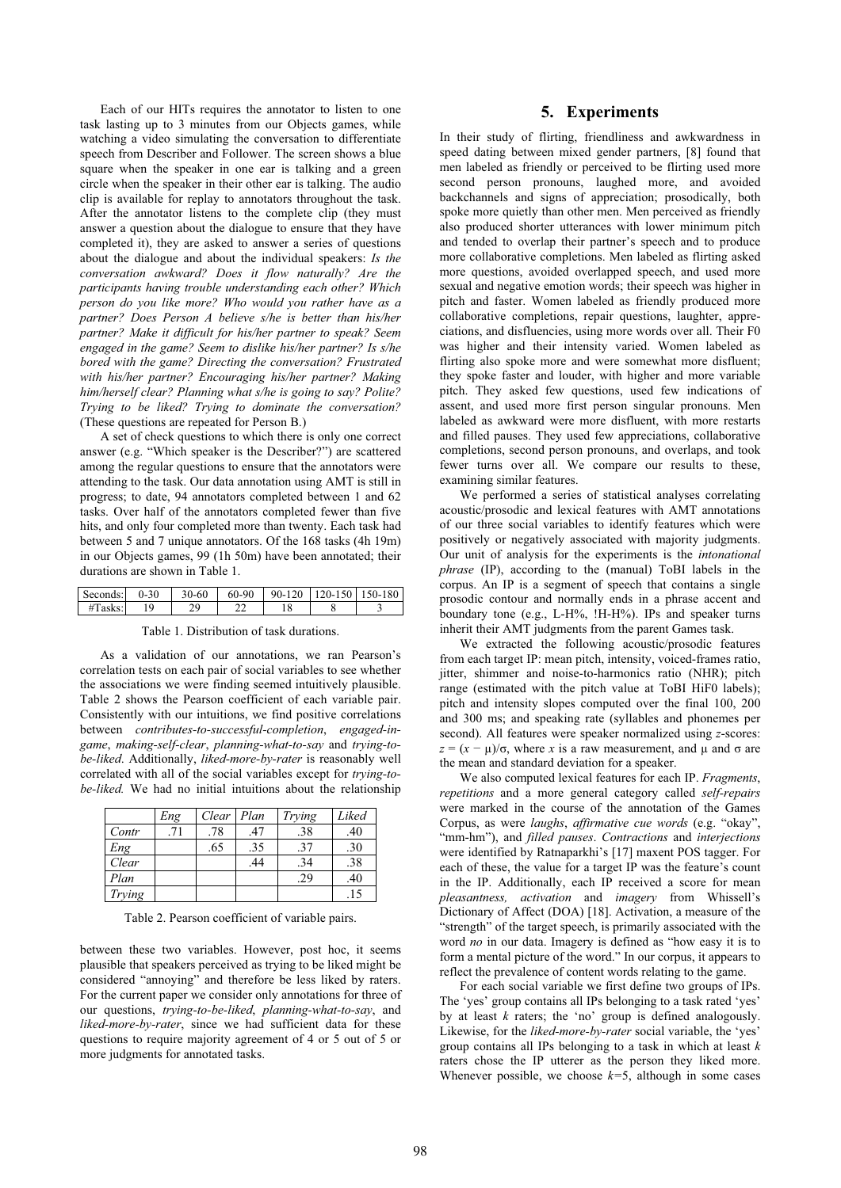Each of our HITs requires the annotator to listen to one task lasting up to 3 minutes from our Objects games, while watching a video simulating the conversation to differentiate speech from Describer and Follower. The screen shows a blue square when the speaker in one ear is talking and a green circle when the speaker in their other ear is talking. The audio clip is available for replay to annotators throughout the task. After the annotator listens to the complete clip (they must answer a question about the dialogue to ensure that they have completed it), they are asked to answer a series of questions about the dialogue and about the individual speakers: *Is the conversation awkward? Does it flow naturally? Are the participants having trouble understanding each other? Which person do you like more? Who would you rather have as a partner? Does Person A believe s/he is better than his/her partner? Make it difficult for his/her partner to speak? Seem engaged in the game? Seem to dislike his/her partner? Is s/he bored with the game? Directing the conversation? Frustrated with his/her partner? Encouraging his/her partner? Making him/herself clear? Planning what s/he is going to say? Polite? Trying to be liked? Trying to dominate the conversation?* (These questions are repeated for Person B.)

A set of check questions to which there is only one correct answer (e.g. "Which speaker is the Describer?") are scattered among the regular questions to ensure that the annotators were attending to the task. Our data annotation using AMT is still in progress; to date, 94 annotators completed between 1 and 62 tasks. Over half of the annotators completed fewer than five hits, and only four completed more than twenty. Each task had between 5 and 7 unique annotators. Of the 168 tasks (4h 19m) in our Objects games, 99 (1h 50m) have been annotated; their durations are shown in Table 1.

| Seconds: | 30<br>$\mathbf{u}$ | $30 - 60$ | 60-90 | $90 - 120$ | 20-150 1 | 50-180 |
|----------|--------------------|-----------|-------|------------|----------|--------|
| asks:    |                    | 7۵<br>ر ت | ∸     |            |          |        |

Table 1. Distribution of task durations.

As a validation of our annotations, we ran Pearson's correlation tests on each pair of social variables to see whether the associations we were finding seemed intuitively plausible. Table 2 shows the Pearson coefficient of each variable pair. Consistently with our intuitions, we find positive correlations between *contributes-to-successful-completion*, *engaged-ingame*, *making-self-clear*, *planning-what-to-say* and *trying-tobe-liked*. Additionally, *liked-more-by-rater* is reasonably well correlated with all of the social variables except for *trying-tobe-liked.* We had no initial intuitions about the relationship

|        | Eng | Clear | Plan | Trying | Liked |
|--------|-----|-------|------|--------|-------|
| Contr  | .71 | .78   | .47  | .38    | .40   |
| Eng    |     | .65   | .35  | .37    | .30   |
| Clear  |     |       | .44  | .34    | .38   |
| Plan   |     |       |      | .29    | .40   |
| Trying |     |       |      |        | .15   |

Table 2. Pearson coefficient of variable pairs.

between these two variables. However, post hoc, it seems plausible that speakers perceived as trying to be liked might be considered "annoying" and therefore be less liked by raters. For the current paper we consider only annotations for three of our questions, *trying-to-be-liked*, *planning-what-to-say*, and *liked-more-by-rater*, since we had sufficient data for these questions to require majority agreement of 4 or 5 out of 5 or more judgments for annotated tasks.

### **5. Experiments**

In their study of flirting, friendliness and awkwardness in speed dating between mixed gender partners, [8] found that men labeled as friendly or perceived to be flirting used more second person pronouns, laughed more, and avoided backchannels and signs of appreciation; prosodically, both spoke more quietly than other men. Men perceived as friendly also produced shorter utterances with lower minimum pitch and tended to overlap their partner's speech and to produce more collaborative completions. Men labeled as flirting asked more questions, avoided overlapped speech, and used more sexual and negative emotion words; their speech was higher in pitch and faster. Women labeled as friendly produced more collaborative completions, repair questions, laughter, appreciations, and disfluencies, using more words over all. Their F0 was higher and their intensity varied. Women labeled as flirting also spoke more and were somewhat more disfluent; they spoke faster and louder, with higher and more variable pitch. They asked few questions, used few indications of assent, and used more first person singular pronouns. Men labeled as awkward were more disfluent, with more restarts and filled pauses. They used few appreciations, collaborative completions, second person pronouns, and overlaps, and took fewer turns over all. We compare our results to these, examining similar features.

We performed a series of statistical analyses correlating acoustic/prosodic and lexical features with AMT annotations of our three social variables to identify features which were positively or negatively associated with majority judgments. Our unit of analysis for the experiments is the *intonational phrase* (IP), according to the (manual) ToBI labels in the corpus. An IP is a segment of speech that contains a single prosodic contour and normally ends in a phrase accent and boundary tone (e.g., L-H%, !H-H%). IPs and speaker turns inherit their AMT judgments from the parent Games task.

We extracted the following acoustic/prosodic features from each target IP: mean pitch, intensity, voiced-frames ratio, jitter, shimmer and noise-to-harmonics ratio (NHR); pitch range (estimated with the pitch value at ToBI HiF0 labels); pitch and intensity slopes computed over the final 100, 200 and 300 ms; and speaking rate (syllables and phonemes per second). All features were speaker normalized using *z*-scores:  $z = (x - \mu)/\sigma$ , where *x* is a raw measurement, and  $\mu$  and  $\sigma$  are the mean and standard deviation for a speaker.

We also computed lexical features for each IP. *Fragments*, *repetitions* and a more general category called *self-repairs* were marked in the course of the annotation of the Games Corpus, as were *laughs*, *affirmative cue words* (e.g. "okay", "mm-hm"), and *filled pauses*. *Contractions* and *interjections* were identified by Ratnaparkhi's [17] maxent POS tagger. For each of these, the value for a target IP was the feature's count in the IP. Additionally, each IP received a score for mean *pleasantness, activation* and *imagery* from Whissell's Dictionary of Affect (DOA) [18]. Activation, a measure of the "strength" of the target speech, is primarily associated with the word *no* in our data. Imagery is defined as "how easy it is to form a mental picture of the word." In our corpus, it appears to reflect the prevalence of content words relating to the game.

For each social variable we first define two groups of IPs. The 'yes' group contains all IPs belonging to a task rated 'yes' by at least *k* raters; the 'no' group is defined analogously. Likewise, for the *liked-more-by-rater* social variable, the 'yes' group contains all IPs belonging to a task in which at least *k* raters chose the IP utterer as the person they liked more. Whenever possible, we choose  $k=5$ , although in some cases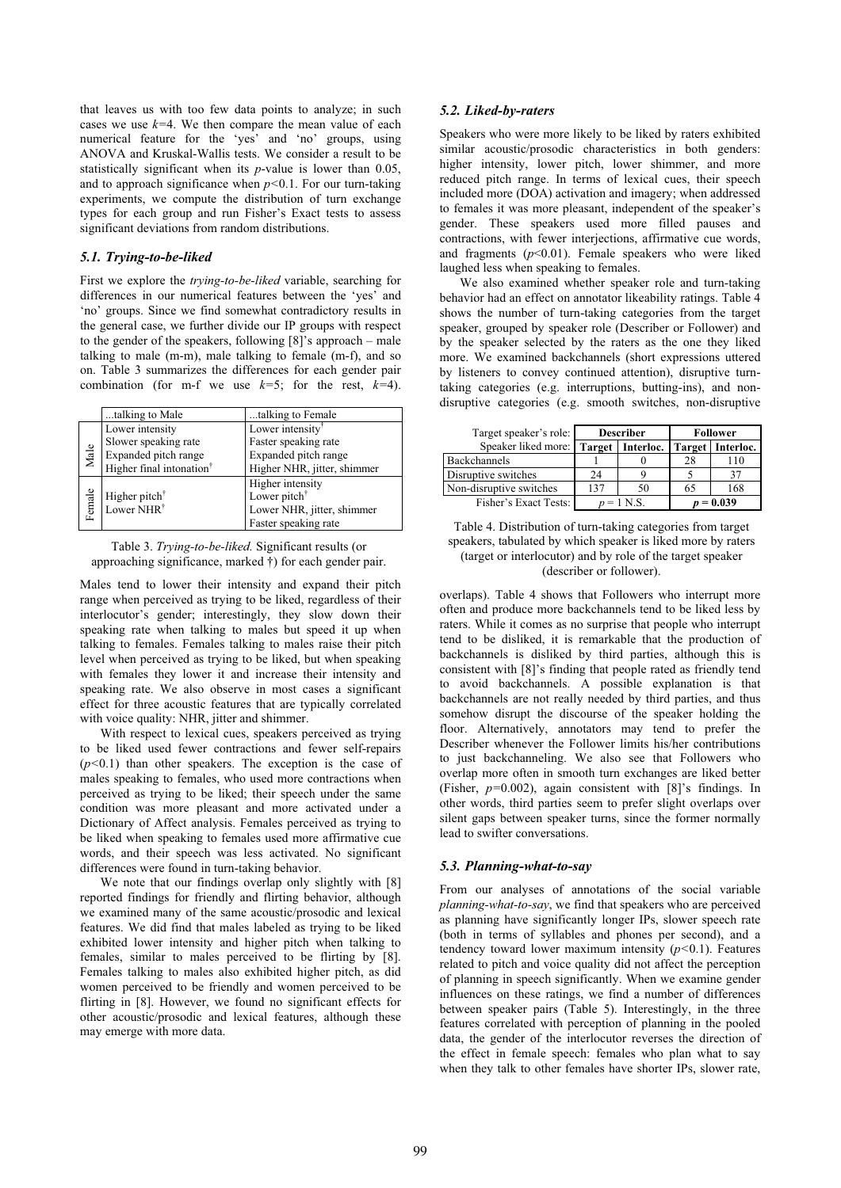that leaves us with too few data points to analyze; in such cases we use *k=*4. We then compare the mean value of each numerical feature for the 'yes' and 'no' groups, using ANOVA and Kruskal-Wallis tests. We consider a result to be statistically significant when its *p*-value is lower than 0.05, and to approach significance when *p<*0.1. For our turn-taking experiments, we compute the distribution of turn exchange types for each group and run Fisher's Exact tests to assess significant deviations from random distributions.

#### *5.1. Trying-to-be-liked*

First we explore the *trying-to-be-liked* variable, searching for differences in our numerical features between the 'yes' and 'no' groups. Since we find somewhat contradictory results in the general case, we further divide our IP groups with respect to the gender of the speakers, following [8]'s approach – male talking to male (m-m), male talking to female (m-f), and so on. Table 3 summarizes the differences for each gender pair combination (for m-f we use *k=*5; for the rest, *k=*4).

|        | talking to Male                      | talking to Female            |
|--------|--------------------------------------|------------------------------|
|        | Lower intensity                      | Lower intensity <sup>†</sup> |
|        | Slower speaking rate                 | Faster speaking rate         |
| Male   | Expanded pitch range                 | Expanded pitch range         |
|        | Higher final intonation <sup>†</sup> | Higher NHR, jitter, shimmer  |
|        |                                      | Higher intensity             |
| Female | Higher pitch $†$                     | Lower pitch <sup>†</sup>     |
|        | Lower NHR <sup>†</sup>               | Lower NHR, jitter, shimmer   |
|        |                                      | Faster speaking rate         |

| Table 3. Trying-to-be-liked. Significant results (or      |
|-----------------------------------------------------------|
| approaching significance, marked †) for each gender pair. |

Males tend to lower their intensity and expand their pitch range when perceived as trying to be liked, regardless of their interlocutor's gender; interestingly, they slow down their speaking rate when talking to males but speed it up when talking to females. Females talking to males raise their pitch level when perceived as trying to be liked, but when speaking with females they lower it and increase their intensity and speaking rate. We also observe in most cases a significant effect for three acoustic features that are typically correlated with voice quality: NHR, jitter and shimmer.

With respect to lexical cues, speakers perceived as trying to be liked used fewer contractions and fewer self-repairs (*p<*0.1) than other speakers. The exception is the case of males speaking to females, who used more contractions when perceived as trying to be liked; their speech under the same condition was more pleasant and more activated under a Dictionary of Affect analysis. Females perceived as trying to be liked when speaking to females used more affirmative cue words, and their speech was less activated. No significant differences were found in turn-taking behavior.

We note that our findings overlap only slightly with [8] reported findings for friendly and flirting behavior, although we examined many of the same acoustic/prosodic and lexical features. We did find that males labeled as trying to be liked exhibited lower intensity and higher pitch when talking to females, similar to males perceived to be flirting by [8]. Females talking to males also exhibited higher pitch, as did women perceived to be friendly and women perceived to be flirting in [8]. However, we found no significant effects for other acoustic/prosodic and lexical features, although these may emerge with more data.

#### *5.2. Liked-by-raters*

Speakers who were more likely to be liked by raters exhibited similar acoustic/prosodic characteristics in both genders: higher intensity, lower pitch, lower shimmer, and more reduced pitch range. In terms of lexical cues, their speech included more (DOA) activation and imagery; when addressed to females it was more pleasant, independent of the speaker's gender. These speakers used more filled pauses and contractions, with fewer interjections, affirmative cue words, and fragments  $(p<0.01)$ . Female speakers who were liked laughed less when speaking to females.

We also examined whether speaker role and turn-taking behavior had an effect on annotator likeability ratings. Table 4 shows the number of turn-taking categories from the target speaker, grouped by speaker role (Describer or Follower) and by the speaker selected by the raters as the one they liked more. We examined backchannels (short expressions uttered by listeners to convey continued attention), disruptive turntaking categories (e.g. interruptions, butting-ins), and nondisruptive categories (e.g. smooth switches, non-disruptive

| Target speaker's role:  | <b>Describer</b> |                    | Follower |                    |
|-------------------------|------------------|--------------------|----------|--------------------|
| Speaker liked more:     |                  | Target   Interloc. |          | Target   Interloc. |
| Backchannels            |                  |                    | 28       | 10                 |
| Disruptive switches     | 24               |                    |          | 37                 |
| Non-disruptive switches | 137              | 50                 | 65       | 168                |
| Fisher's Exact Tests:   | $n = 1$ N S      |                    | 0.039    |                    |

Table 4. Distribution of turn-taking categories from target speakers, tabulated by which speaker is liked more by raters (target or interlocutor) and by role of the target speaker (describer or follower).

overlaps). Table 4 shows that Followers who interrupt more often and produce more backchannels tend to be liked less by raters. While it comes as no surprise that people who interrupt tend to be disliked, it is remarkable that the production of backchannels is disliked by third parties, although this is consistent with [8]'s finding that people rated as friendly tend to avoid backchannels. A possible explanation is that backchannels are not really needed by third parties, and thus somehow disrupt the discourse of the speaker holding the floor. Alternatively, annotators may tend to prefer the Describer whenever the Follower limits his/her contributions to just backchanneling. We also see that Followers who overlap more often in smooth turn exchanges are liked better (Fisher, *p=*0.002), again consistent with [8]'s findings. In other words, third parties seem to prefer slight overlaps over silent gaps between speaker turns, since the former normally lead to swifter conversations.

#### *5.3. Planning-what-to-say*

From our analyses of annotations of the social variable *planning-what-to-say*, we find that speakers who are perceived as planning have significantly longer IPs, slower speech rate (both in terms of syllables and phones per second), and a tendency toward lower maximum intensity (*p<*0.1). Features related to pitch and voice quality did not affect the perception of planning in speech significantly. When we examine gender influences on these ratings, we find a number of differences between speaker pairs (Table 5). Interestingly, in the three features correlated with perception of planning in the pooled data, the gender of the interlocutor reverses the direction of the effect in female speech: females who plan what to say when they talk to other females have shorter IPs, slower rate,